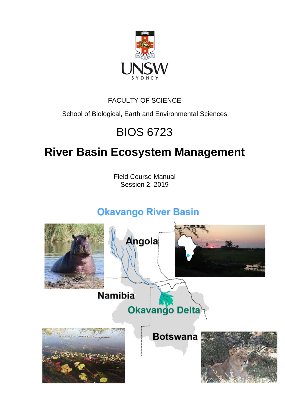

### FACULTY OF SCIENCE

School of Biological, Earth and Environmental Sciences

# BIOS 6723

# **River Basin Ecosystem Management**

Field Course Manual Session 2, 2019

**Okavango River Basin** 

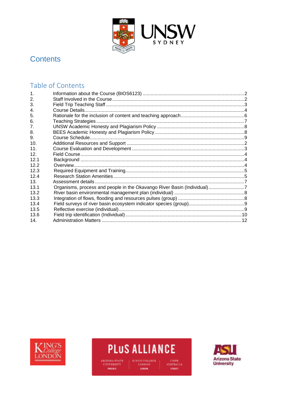

## **Contents**

### Table of Contents

| $\mathbf 1$     |                                                                         |  |
|-----------------|-------------------------------------------------------------------------|--|
| 2.              |                                                                         |  |
| 3.              |                                                                         |  |
| 4.              |                                                                         |  |
| 5.              |                                                                         |  |
| 6.              |                                                                         |  |
| 7.              |                                                                         |  |
| 8.              |                                                                         |  |
| 9.              |                                                                         |  |
| 10.             |                                                                         |  |
| 11.             |                                                                         |  |
| 12 <sup>7</sup> |                                                                         |  |
| 12 <sub>1</sub> |                                                                         |  |
| 12.2            |                                                                         |  |
| 12.3            |                                                                         |  |
| 12.4            |                                                                         |  |
| 13.             |                                                                         |  |
| 131             | Organisms, process and people in the Okavango River Basin (Individual)7 |  |
| 13.2            |                                                                         |  |
| 13.3            |                                                                         |  |
| 13.4            |                                                                         |  |
| 13.5            |                                                                         |  |
| 13.6            |                                                                         |  |
| 14.             |                                                                         |  |
|                 |                                                                         |  |



**PLUS ALLIANCE** ARIZONA STATE<br>UNIVERSITY  $\begin{array}{c} \texttt{KINGS}\texttt{COLLRGB} \\ \texttt{LONDON} \end{array}$ **UNSW**<br>AUSTRALIA PHOENIX LONDON SYDNEY

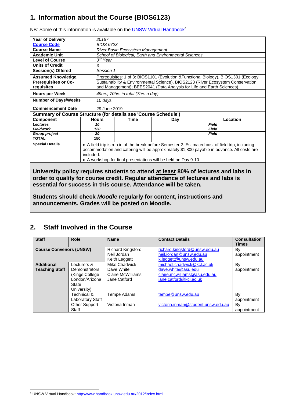### <span id="page-2-0"></span>**1. Information about the Course (BIOS6123)**

NB: Some of this information is available on the [UNSW Virtual Handbook](http://www.handbook.unsw.edu.au/2008/index.html)<sup>[1](#page-2-2)</sup>

| <b>Year of Delivery</b>                                                |  | 20167                                                                                                                                                                                                                                                            |                                  |                                                        |              |  |
|------------------------------------------------------------------------|--|------------------------------------------------------------------------------------------------------------------------------------------------------------------------------------------------------------------------------------------------------------------|----------------------------------|--------------------------------------------------------|--------------|--|
| <b>Course Code</b>                                                     |  | <b>BIOS 6723</b>                                                                                                                                                                                                                                                 |                                  |                                                        |              |  |
| <b>Course Name</b>                                                     |  |                                                                                                                                                                                                                                                                  | River Basin Ecosystem Management |                                                        |              |  |
| <b>Academic Unit</b>                                                   |  |                                                                                                                                                                                                                                                                  |                                  | School of Biological, Earth and Environmental Sciences |              |  |
| <b>Level of Course</b>                                                 |  | 3 <sup>rd</sup> Year                                                                                                                                                                                                                                             |                                  |                                                        |              |  |
| <b>Units of Credit</b>                                                 |  | 3                                                                                                                                                                                                                                                                |                                  |                                                        |              |  |
| Session(s) Offered                                                     |  | Session 1                                                                                                                                                                                                                                                        |                                  |                                                        |              |  |
| <b>Assumed Knowledge,</b><br><b>Prerequisites or Co-</b><br>requisites |  | Prerequisites: 1 of 3: BIOS1101 (Evolution & Functional Biology), BIOS1301 (Ecology,<br>Sustainability & Environmental Science), BIOS2123 (River Ecosystem Conservation<br>and Management); BEES2041 (Data Analysis for Life and Earth Sciences).                |                                  |                                                        |              |  |
| <b>Hours per Week</b>                                                  |  | 49hrs, 70hrs in total (7hrs a day)                                                                                                                                                                                                                               |                                  |                                                        |              |  |
| <b>Number of Days/Weeks</b>                                            |  | 10 days                                                                                                                                                                                                                                                          |                                  |                                                        |              |  |
| <b>Commencement Date</b>                                               |  | 29 June 2019                                                                                                                                                                                                                                                     |                                  |                                                        |              |  |
| Summary of Course Structure (for details see 'Course Schedule')        |  |                                                                                                                                                                                                                                                                  |                                  |                                                        |              |  |
| <b>Component</b>                                                       |  | <b>Hours</b>                                                                                                                                                                                                                                                     | Time                             | Day                                                    | Location     |  |
| <b>Lectures</b>                                                        |  | 10                                                                                                                                                                                                                                                               |                                  |                                                        | <b>Field</b> |  |
| <b>Fieldwork</b>                                                       |  | 120                                                                                                                                                                                                                                                              |                                  |                                                        | <b>Field</b> |  |
| <b>Group project</b>                                                   |  | 20                                                                                                                                                                                                                                                               |                                  |                                                        | <b>Field</b> |  |
| <b>TOTAL</b>                                                           |  | 150                                                                                                                                                                                                                                                              |                                  |                                                        |              |  |
| <b>Special Details</b><br>included.                                    |  | • A field trip is run in of the break before Semester 2. Estimated cost of field trip, including<br>accommodation and catering will be approximately \$1,800 payable in advance. All costs are<br>• A workshop for final presentations will be held on Day 9-10. |                                  |                                                        |              |  |
|                                                                        |  |                                                                                                                                                                                                                                                                  |                                  |                                                        |              |  |

**University policy requires students to attend at least 80% of lectures and labs in order to quality for course credit. Regular attendance of lectures and labs is essential for success in this course. Attendance will be taken.**

**Students should check** *Moodle* **regularly for content, instructions and announcements. Grades will be posted on Moodle.**

### <span id="page-2-1"></span>**2. Staff Involved in the Course**

| <b>Staff</b>                               | <b>Role</b>                                                                               | <b>Name</b>                                                      | <b>Contact Details</b>                                                                                     | <b>Consultation</b><br><b>Times</b> |
|--------------------------------------------|-------------------------------------------------------------------------------------------|------------------------------------------------------------------|------------------------------------------------------------------------------------------------------------|-------------------------------------|
| <b>Course Convenors (UNSW)</b>             |                                                                                           | <b>Richard Kingsford</b><br>Neil Jordan<br>Keith Leggett         | richard.kingsford@unsw.edu.au<br>neil.jordan@unsw.edu.au<br>k.leggett@unsw.edu.au                          | By<br>appointment                   |
| <b>Additional</b><br><b>Teaching Staff</b> | Lecturers &<br>Demonstrators<br>(Kings College)<br>London/Arizona<br>State<br>University) | Mike Chadwick<br>Dave White<br>Claire McWilliams<br>Jane Catford | michael.chadwick@kcl.ac.uk<br>dave.white@asu.edu<br>claire.mcwilliams@asu.edu.au<br>jane.catford@kcl.ac.uk | By<br>appointment                   |
|                                            | Technical &<br>Laboratory Staff                                                           | Tempe Adams                                                      | tempe@unsw.edu.au                                                                                          | By<br>appointment                   |
|                                            | <b>Other Support</b><br>Staff                                                             | Victoria Inman                                                   | victoria.inman@student.unsw.edu.au                                                                         | By<br>appointment                   |

<span id="page-2-2"></span><sup>1</sup> UNSW Virtual Handbook[: http://www.handbook.unsw.edu.au/2012/index.html](http://www.handbook.unsw.edu.au/2011/index.html)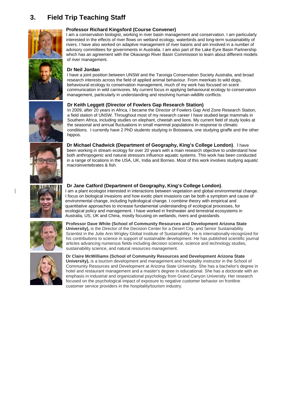### <span id="page-3-0"></span>**3. Field Trip Teaching Staff**



#### **Professor Richard Kingsford (Course Convener)**

I am a conservation biologist, working in river basin management and conservation. I am particularly interested in the effects of river flows on wetland ecology, waterbirds and long-term sustainability of rivers. I have also worked on adaptive management of river basins and am involved in a number of advisory committees for governments in Australia. I am also part of the Lake Eyre Basin Partnership which has an agreement with the Okavango River Basin Commission to learn about different models of river management.

#### **Dr Neil Jordan**

I have a joint position between UNSW and the Taronga Conservation Society Australia, and broad research interests across the field of applied animal behaviour. From meerkats to wild dogs, behavioural ecology to conservation management, much of my work has focused on scent communication in wild carnivores. My current focus in applying behavioural ecology to conservation management, particularly in understanding and resolving human-wildlife conflicts.

#### **Dr Keith Leggett (Director of Fowlers Gap Research Station)**

In 2009, after 20 years in Africa, I became the Director of Fowlers Gap Arid Zone Research Station, a field station of UNSW. Throughout most of my research career I have studied large mammals in Southern Africa, including studies on elephant, cheetah and lions. My current field of study looks at the seasonal and annual fluctuations in small mammal populations in response to climatic conditions. I currently have 2 PhD students studying in Botswana, one studying giraffe and the other hippos.

#### **Dr Michael Chadwick (Department of Geography, King's College London)**. I have

been working in stream ecology for over 20 years with a main research objective to understand how both anthropogenic and natural stressors influence aquatic systems. This work has been conducted in a range of locations in the USA, UK, India and Borneo. Most of this work involves studying aquatic macroinvertebrates & fish.



#### **Dr Jane Catford (Department of Geography, King's College London)**.

am a plant ecologist interested in interactions between vegetation and global environmental change. I focus on biological invasions and how exotic plant invasions can be both a symptom and cause of environmental change, including hydrological change. I combine theory with empirical and quantitative approaches to increase fundamental understanding of ecological processes, for ecological policy and management. I have worked in freshwater and terrestrial ecosystems in Australia, US, UK and China, mostly focusing on wetlands, rivers and grasslands.



**Professor Dave White (School of Community Resources and Development Arizona State University),** is the Director of the Decision Center for a Desert City, and Senior Sustainability Scientist in the Julie Ann Wrigley Global Institute of Sustainability. He is internationally-recognized for his contributions to science in support of sustainable development. He has published scientific journal articles advancing numerous fields including decision science, science and technology studies, sustainability science, and natural resources management.



**Dr Claire McWilliams (School of Community Resources and Development Arizona State University),** is a tourism development and management and hospitality instructor in the School of Community Resources and Development at Arizona State University. She has a bachelor's degree in hotel and restaurant management and a master's degree in educational. She has a doctorate with an emphasis in industrial and organizational psychology from Grand Canyon University. Her research focused on the psychological impact of exposure to negative customer behavior on frontline customer service providers in the hospitality/tourism industry.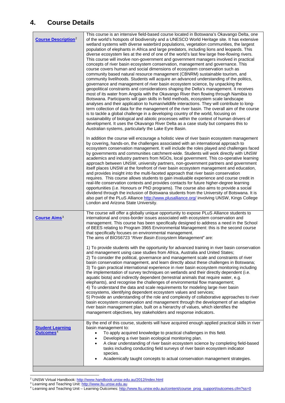### <span id="page-4-0"></span>**4. Course Details**

| <b>Course Description</b> <sup>2</sup>           | This course is an intensive field-based course located in Botswana's Okavango Delta, one<br>of the world's hotspots of biodiversity and a UNESCO World Heritage site. It has extensive<br>wetland systems with diverse waterbird populations, vegetation communities, the largest<br>population of elephants in Africa and large predators, including lions and leopards. This<br>diverse ecosystem lies at the end of one of the world's last few large free-flowing rivers.<br>This course will involve non-government and government managers involved in practical<br>concepts of river basin ecosystem conservation, management and governance. This<br>course covers human and social dimensions of ecosystem conservation such as<br>community based natural resource management (CBNRM) sustainable tourism, and<br>community livelihoods. Students will acquire an advanced understanding of the politics,<br>governance and management of river basin ecosystem science, by unpacking the<br>geopolitical constraints and considerations shaping the Delta's management. It receives<br>most of its water from Angola with the Okavango River then flowing through Namibia to<br>Botswana. Participants will gain skills in field methods, ecosystem scale landscape<br>analyses and their application to human/wildlife interactions. They will contribute to long-<br>term collection of data for the management of the river basin. The overall aim of the course<br>is to tackle a global challenge in a developing country of the world, focusing on<br>sustainability of biological and abiotic processes within the context of human drivers of<br>development. It uses the Okavango River Delta as a case study but compares this to<br>Australian systems, particularly the Lake Eyre Basin. |
|--------------------------------------------------|-----------------------------------------------------------------------------------------------------------------------------------------------------------------------------------------------------------------------------------------------------------------------------------------------------------------------------------------------------------------------------------------------------------------------------------------------------------------------------------------------------------------------------------------------------------------------------------------------------------------------------------------------------------------------------------------------------------------------------------------------------------------------------------------------------------------------------------------------------------------------------------------------------------------------------------------------------------------------------------------------------------------------------------------------------------------------------------------------------------------------------------------------------------------------------------------------------------------------------------------------------------------------------------------------------------------------------------------------------------------------------------------------------------------------------------------------------------------------------------------------------------------------------------------------------------------------------------------------------------------------------------------------------------------------------------------------------------------------------------------------------------------------------------------------------------------|
|                                                  | In addition the course will encourage a holistic view of river basin ecosystem management<br>by covering, hands-on, the challenges associated with an international approach to<br>ecosystem conservation management. It will include the roles played and challenges faced<br>by governments and communities catchment-wide. Students will work directly with UNSW<br>academics and industry partners from NGOs, local government. This co-operative learning<br>approach between UNSW, university partners, non-government partners and government<br>itself places UNSW at the forefront of river basin ecosystem management and education,<br>and provides insight into the multi-faceted approach that river basin conservation<br>requires. This course allows students to gain invaluable experience and course credit in<br>real-life conservation contexts and provides contacts for future higher-degree learning<br>opportunities (i.e. Honours or PhD programs). The course also aims to provide a social<br>dividend through the inclusion of Botswana students from the University of Botswana. It is<br>also part of the PLuS Alliance http://www.plusalliance.org/ involving UNSW, Kings College<br>London and Arizona State University.                                                                                                                                                                                                                                                                                                                                                                                                                                                                                                                                                        |
| Course Aims <sup>3</sup>                         | The course will offer a globally unique opportunity to expose PLuS Alliance students to<br>international and cross-border issues associated with ecosystem conservation and<br>management. This course has been specifically designed to address a need in the School<br>of BEES relating to Program 3965 Environmental Management: this is the second course<br>that specifically focuses on environmental management.<br>The aims of BIOS6723 "River Basin Ecosystem Management" are:                                                                                                                                                                                                                                                                                                                                                                                                                                                                                                                                                                                                                                                                                                                                                                                                                                                                                                                                                                                                                                                                                                                                                                                                                                                                                                                         |
|                                                  | 1) To provide students with the opportunity for advanced training in river basin conservation<br>and management using case studies from Africa, Australia and United States;<br>2) To consider the political, governance and management scale and constraints of river<br>basin conservation management, and learn directly about these challenges in Botswana;<br>3) To gain practical international experience in river basin ecosystem monitoring including<br>the implementation of survey techniques on wetlands and their directly dependent (i.e.<br>aquatic biota) and indirectly dependent (terrestrial animals that require water, e.g.<br>elephants), and recognise the challenges of environmental flow management;<br>4) To understand the data and scale requirements for modeling large river basin<br>ecosystems, identifying dependent ecosystem values and services;<br>5) Provide an understanding of the role and complexity of collaborative approaches to river<br>basin ecosystem conservation and management through the development of an adaptive<br>river basin management plan, built on a hierarchy of values, which identifies the<br>management objectives, key stakeholders and response indicators.                                                                                                                                                                                                                                                                                                                                                                                                                                                                                                                                                                            |
| <b>Student Learning</b><br>Outcomes <sup>4</sup> | By the end of this course, students will have acquired enough applied practical skills in river<br>basin management to:<br>To apply acquired knowledge to practical challenges in this field.                                                                                                                                                                                                                                                                                                                                                                                                                                                                                                                                                                                                                                                                                                                                                                                                                                                                                                                                                                                                                                                                                                                                                                                                                                                                                                                                                                                                                                                                                                                                                                                                                   |
|                                                  | Developing a river basin ecological monitoring plan.<br>A clear understanding of river basin ecosystem science by completing field-based<br>tasks including conducting field surveys of river basin ecosystem indicator<br>species.<br>Academically taught concepts to actual conservation management strategies.                                                                                                                                                                                                                                                                                                                                                                                                                                                                                                                                                                                                                                                                                                                                                                                                                                                                                                                                                                                                                                                                                                                                                                                                                                                                                                                                                                                                                                                                                               |
|                                                  |                                                                                                                                                                                                                                                                                                                                                                                                                                                                                                                                                                                                                                                                                                                                                                                                                                                                                                                                                                                                                                                                                                                                                                                                                                                                                                                                                                                                                                                                                                                                                                                                                                                                                                                                                                                                                 |

 <sup>2</sup> UNSW Virtual Handbook[: http://www.handbook.unsw.edu.au/2012/index.html](http://www.handbook.unsw.edu.au/2011/index.html)

<span id="page-4-2"></span><span id="page-4-1"></span><sup>&</sup>lt;sup>3</sup> Learning and Teaching Unit[: http://www.ltu.unsw.edu.au](http://www.ltu.unsw.edu.au/)

<span id="page-4-3"></span><sup>4</sup> Learning and Teaching Unit – Learning Outcomes[: http://www.ltu.unsw.edu.au/content/course\\_prog\\_support/outcomes.cfm?ss=0](http://www.ltu.unsw.edu.au/content/course_prog_support/outcomes.cfm?ss=0)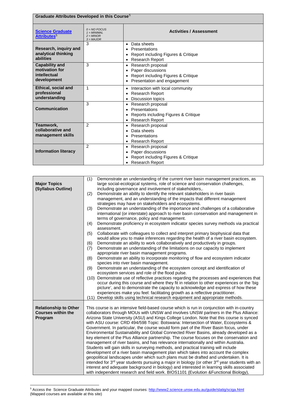|                                                                        | Graduate Attributes Developed in this Course <sup>5</sup>     |                                                                                                                                        |  |  |  |  |
|------------------------------------------------------------------------|---------------------------------------------------------------|----------------------------------------------------------------------------------------------------------------------------------------|--|--|--|--|
| <b>Science Graduate</b><br><b>Attributes</b> <sup>5</sup>              | $0 = NO$ FOCUS<br>$1 = MINIMAL$<br>$2 = MINOR$<br>$3 = MAJOR$ | <b>Activities / Assessment</b>                                                                                                         |  |  |  |  |
| Research, inquiry and<br>analytical thinking<br>abilities              | 3                                                             | Data sheets<br>$\bullet$<br>Presentations<br>Report including Figures & Critique<br>٠<br>Research Report<br>$\bullet$                  |  |  |  |  |
| <b>Capability and</b><br>motivation for<br>intellectual<br>development | 3                                                             | Research proposal<br>$\bullet$<br>Paper discussions<br>Report including Figures & Critique<br>$\bullet$<br>Presentation and engagement |  |  |  |  |
| Ethical, social and<br>professional<br>understanding                   | 1                                                             | Interaction with local community<br>٠<br><b>Research Report</b><br>$\bullet$<br><b>Discussion topics</b><br>٠                          |  |  |  |  |
| Communication                                                          | 3                                                             | Research proposal<br>$\bullet$<br>Presentations<br>$\bullet$<br>Reports including Figures & Critique<br>Research Report<br>٠           |  |  |  |  |
| Teamwork,<br>collaborative and<br>management skills                    | $\overline{2}$                                                | Research proposal<br>$\bullet$<br>Data sheets<br>٠<br>Presentations<br><b>Research Report</b><br>$\bullet$                             |  |  |  |  |
| <b>Information literacy</b>                                            | $\mathcal{P}$                                                 | Research proposal<br>Paper discussions<br>٠<br>Report including Figures & Critique<br>$\bullet$<br><b>Research Report</b>              |  |  |  |  |

|                              | Demonstrate an understanding of the current river basin management practices, as<br>(1)                                             |
|------------------------------|-------------------------------------------------------------------------------------------------------------------------------------|
| <b>Major Topics</b>          | large social-ecological systems, role of science and conservation challenges,                                                       |
| (Syllabus Outline)           | including governance and involvement of stakeholders,.                                                                              |
|                              | Demonstrate an ability to identify the relevant stakeholders in river basin<br>(2)                                                  |
|                              | management, and an understanding of the impacts that different management                                                           |
|                              | strategies may have on stakeholders and ecosystems.                                                                                 |
|                              | Demonstrate an understanding of the importance and challenges of a collaborative<br>(3)                                             |
|                              | international (or interstate) approach to river basin conservation and management in                                                |
|                              | terms of governance, policy and management.                                                                                         |
|                              | (4)<br>Demonstrate proficiency in ecosystem indicator species survey methods via practical<br>assessment.                           |
|                              | Collaborate with colleagues to collect and interpret primary biophysical data that<br>(5)                                           |
|                              | would allow you to make inferences regarding the health of a river basin ecosystem.                                                 |
|                              | Demonstrate an ability to work collaboratively and productively in groups.<br>(6)                                                   |
|                              | Demonstrate an understanding of the limitations on our capacity to implement<br>(7)<br>appropriate river basin management programs. |
|                              | Demonstrate an ability to incorporate monitoring of flow and ecosystem indicator<br>(8)                                             |
|                              | species into river basin management.                                                                                                |
|                              | Demonstrate an understanding of the ecosystem concept and identification of<br>(9)                                                  |
|                              | ecosystem services and role of the flood pulse.                                                                                     |
|                              | (10) Demonstrate use of reflective practices regarding the processes and experiences that                                           |
|                              | occur during this course and where they fit in relation to other experiences or the 'big                                            |
|                              | picture', and to demonstrate the capacity to acknowledge and express of how these                                                   |
|                              | experiences make you feel: facilitating growth as a reflective practitioner.                                                        |
|                              | Develop skills using technical research equipment and appropriate methods.<br>(11)                                                  |
|                              |                                                                                                                                     |
| <b>Relationship to Other</b> | This course is an intensive field-based course which is run in conjunction with in-country                                          |
| <b>Courses within the</b>    | collaborators through MOUs with UNSW and involves UNSW partners in the Plus Alliance:                                               |
| Program                      | Arizona State University (ASU) and Kings College London. Note that this course is synced                                            |
|                              | with ASU course: CRD 494/598 Topic: Botswana: Intersection of Water, Ecosystems &                                                   |
|                              | Government. In particular, the course would form part of the River Basin focus, under                                               |
|                              | Environmental Sustainability and Global Connected River Basins, already developed as a                                              |
|                              | key element of the Plus Alliance partnership. The course focuses on the conservation and                                            |
|                              | management of river basins, and has relevance internationally and within Australia.                                                 |
|                              | Students will gain skills in surveying methods, and practical training will include                                                 |
|                              | development of a river basin management plan which takes into account the complex                                                   |
|                              | geopolitical landscapes under which such plans must be drafted and undertaken. It is                                                |
|                              | intended for 3 <sup>rd</sup> year students pursuing a major in biology (or other 3 <sup>rd</sup> year students with an              |
|                              | interest and adequate background in biology) and interested in learning skills associated                                           |
|                              | with independent research and field work. BIOS1101 (Evolution & Functional Biology),                                                |

<span id="page-5-0"></span> <sup>5</sup> Access the Science Graduate Attributes and your mapped courses[: http://www2.science.unsw.edu.au/guide/slatig/sciga.html](http://www2.science.unsw.edu.au/guide/slatig/sciga.html) (Mapped courses are available at this site)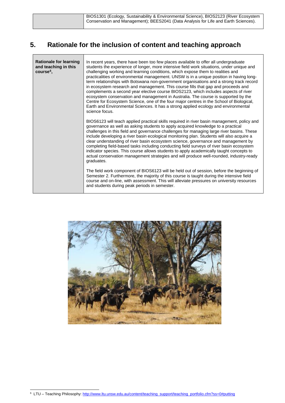| BIOS1301 (Ecology, Sustainability & Environmental Science), BIOS2123 (River Ecosystem |
|---------------------------------------------------------------------------------------|
| Conservation and Management); BEES2041 (Data Analysis for Life and Earth Sciences).   |
|                                                                                       |

### <span id="page-6-0"></span>**5. Rationale for the inclusion of content and teaching approach**

| <b>Rationale for learning</b><br>and teaching in this<br>$course6$ , | In recent years, there have been too few places available to offer all undergraduate<br>students the experience of longer, more intensive field work situations, under unique and<br>challenging working and learning conditions, which expose them to realities and<br>practicalities of environmental management. UNSW is in a unique position in having long-<br>term relationships with Botswana non-government organisations and a strong track record<br>in ecosystem research and management. This course fills that gap and proceeds and<br>complements a second year elective course BIOS2123, which includes aspects of river<br>ecosystem conservation and management in Australia. The course is supported by the<br>Centre for Ecosystem Science, one of the four major centres in the School of Biological,<br>Earth and Environmental Sciences. It has a strong applied ecology and environmental<br>science focus. |
|----------------------------------------------------------------------|------------------------------------------------------------------------------------------------------------------------------------------------------------------------------------------------------------------------------------------------------------------------------------------------------------------------------------------------------------------------------------------------------------------------------------------------------------------------------------------------------------------------------------------------------------------------------------------------------------------------------------------------------------------------------------------------------------------------------------------------------------------------------------------------------------------------------------------------------------------------------------------------------------------------------------|
|                                                                      | BIOS6123 will teach applied practical skills required in river basin management, policy and<br>governance as well as asking students to apply acquired knowledge to a practical<br>challenges in this field and governance challenges for managing large river basins. These<br>include developing a river basin ecological monitoring plan. Students will also acquire a<br>clear understanding of river basin ecosystem science, governance and management by<br>completing field-based tasks including conducting field surveys of river basin ecosystem<br>indicator species. This course allows students to apply academically taught concepts to<br>actual conservation management strategies and will produce well-rounded, industry-ready<br>graduates.                                                                                                                                                                    |
|                                                                      | The field work component of BIOS6123 will be held out of session, before the beginning of<br>Semester 2. Furthermore, the majority of this course is taught during the intensive field<br>course and on-line, with assessment. This will alleviate pressures on university resources<br>and students during peak periods in semester.                                                                                                                                                                                                                                                                                                                                                                                                                                                                                                                                                                                              |



<span id="page-6-1"></span> 6 <sup>6</sup> LTU – Teaching Philosophy: [http://www.ltu.unsw.edu.au/content/teaching\\_support/teaching\\_portfolio.cfm?ss=0#putting](http://www.ltu.unsw.edu.au/content/teaching_support/teaching_portfolio.cfm?ss=0#putting)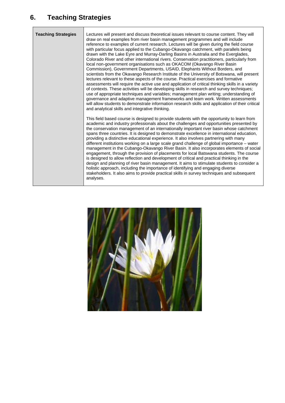### <span id="page-7-0"></span>**6. Teaching Strategies**

**Teaching Strategies** Lectures will present and discuss theoretical issues relevant to course content. They will draw on real examples from river basin management programmes and will include reference to examples of current research. Lectures will be given during the field course with particular focus applied to the Cubango-Okavango catchment, with parallels being drawn with the Lake Eyre and Murray-Darling Basins in Australia and the Everglades, Colorado River and other international rivers. Conservation practitioners, particularly from local non-government organisations such as OKACOM (Okavango River Basin Commission), Government Departments, USAID, Elephants Without Borders, and scientists from the Okavango Research Institute of the University of Botswana, will present lectures relevant to these aspects of the course. Practical exercises and formative assessments will require the active use and application of critical thinking skills in a variety of contexts. These activities will be developing skills in research and survey techniques; use of appropriate techniques and variables; management plan writing; understanding of governance and adaptive management frameworks and team work. Written assessments will allow students to demonstrate information research skills and application of their critical and analytical skills and integrative thinking.

> This field based course is designed to provide students with the opportunity to learn from academic and industry professionals about the challenges and opportunities presented by the conservation management of an internationally important river basin whose catchment spans three countries. It is designed to demonstrate excellence in international education, providing a distinctive educational experience. It also involves partnering with many different institutions working on a large scale grand challenge of global importance – water management in the Cubango-Okavango River Basin. It also incorporates elements of social engagement, through the provision of placements for local Batswana students. The course is designed to allow reflection and development of critical and practical thinking in the design and planning of river basin management. It aims to stimulate students to consider a holistic approach, including the importance of identifying and engaging diverse stakeholders. It also aims to provide practical skills in survey techniques and subsequent analyses.

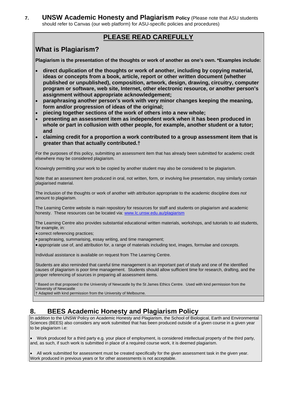#### <span id="page-8-0"></span>7. **UNSW Academic Honesty and Plagiarism Policy (Please note that ASU students** should refer to Canvas (our web platform) for ASU-specific policies and procedures)

### **PLEASE READ CAREFULLY**

### **What is Plagiarism?**

**Plagiarism is the presentation of the thoughts or work of another as one's own. \*Examples include:** 

- **direct duplication of the thoughts or work of another, including by copying material, ideas or concepts from a book, article, report or other written document (whether published or unpublished), composition, artwork, design, drawing, circuitry, computer program or software, web site, Internet, other electronic resource, or another person's assignment without appropriate acknowledgement;**
- **paraphrasing another person's work with very minor changes keeping the meaning, form and/or progression of ideas of the original;**
- **piecing together sections of the work of others into a new whole;**
- **presenting an assessment item as independent work when it has been produced in whole or part in collusion with other people, for example, another student or a tutor; and**
- **claiming credit for a proportion a work contributed to a group assessment item that is greater than that actually contributed.†**

For the purposes of this policy, submitting an assessment item that has already been submitted for academic credit elsewhere may be considered plagiarism.

Knowingly permitting your work to be copied by another student may also be considered to be plagiarism.

Note that an assessment item produced in oral, not written, form, or involving live presentation, may similarly contain plagiarised material.

The inclusion of the thoughts or work of another with attribution appropriate to the academic discipline does *not*  amount to plagiarism.

The Learning Centre website is main repository for resources for staff and students on plagiarism and academic honesty. These resources can be located via: [www.lc.unsw.edu.au/plagiarism](http://www.lc.unsw.edu.au/plagiarism)

The Learning Centre also provides substantial educational written materials, workshops, and tutorials to aid students, for example, in:

• correct referencing practices;

- paraphrasing, summarising, essay writing, and time management;
- appropriate use of, and attribution for, a range of materials including text, images, formulae and concepts.

Individual assistance is available on request from The Learning Centre.

Students are also reminded that careful time management is an important part of study and one of the identified causes of plagiarism is poor time management. Students should allow sufficient time for research, drafting, and the proper referencing of sources in preparing all assessment items.

Based on that proposed to the University of Newcastle by the St James Ethics Centre. Used with kind permission from the University of Newcastle

† Adapted with kind permission from the University of Melbourne.

### <span id="page-8-1"></span>**8. BEES Academic Honesty and Plagiarism Policy**

In addition to the UNSW Policy on Academic Honesty and Plagiarism, the School of Biological, Earth and Environmental Sciences (BEES) also considers any work submitted that has been produced outside of a given course in a given year to be plagiarism i.e:

• Work produced for a third party e.g. your place of employment, is considered intellectual property of the third party, and, as such, if such work is submitted in place of a required course work, it is deemed plagiarism.

• All work submitted for assessment must be created specifically for the given assessment task in the given year. Work produced in previous years or for other assessments is not acceptable.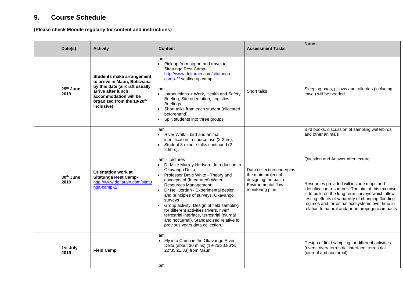### **9. Course Schedule**

**(Please check Moodle regularly for content and instructions)**

<span id="page-9-0"></span>

| Date(s)                       | <b>Activity</b>                                                                                                                                                                               | <b>Content</b>                                                                                                                                                                                                                                                                                                                                                                                                                                                                                                                                                                                                                                                    | <b>Assessment Tasks</b>                                                                                          | <b>Notes</b>                                                                                                                                                                                                                                                                                                                                                                                                                 |
|-------------------------------|-----------------------------------------------------------------------------------------------------------------------------------------------------------------------------------------------|-------------------------------------------------------------------------------------------------------------------------------------------------------------------------------------------------------------------------------------------------------------------------------------------------------------------------------------------------------------------------------------------------------------------------------------------------------------------------------------------------------------------------------------------------------------------------------------------------------------------------------------------------------------------|------------------------------------------------------------------------------------------------------------------|------------------------------------------------------------------------------------------------------------------------------------------------------------------------------------------------------------------------------------------------------------------------------------------------------------------------------------------------------------------------------------------------------------------------------|
| 29 <sup>th</sup> June<br>2019 | <b>Students make arrangement</b><br>to arrive in Maun, Botswana<br>by this date (aircraft usually<br>arrive after lunch;<br>accommodation will be<br>organized from the 10-20th<br>inclusive) | am<br>Pick up from airport and travel to<br>$\bullet$<br>Sitatunga Rest Camp-<br>http://www.deltarain.com/sitatunga-<br>camp-2/ settling up camp<br>pm<br>Introductions + Work, Health and Safety<br>$\bullet$<br>Briefing, Site orientation, Logistics<br><b>Briefings</b><br>Short talks from each student (allocated<br>beforehand)<br>Split students into three groups                                                                                                                                                                                                                                                                                        | Short talks                                                                                                      | Sleeping bags, pillows and toiletries (including<br>towel) will be needed                                                                                                                                                                                                                                                                                                                                                    |
| 30 <sup>th</sup> June<br>2019 | <b>Orientation work at</b><br>Sitatunga Rest Camp-<br>http://www.deltarain.com/sitatu<br>nga-camp-2/                                                                                          | am<br>• River Walk – bird and animal<br>identification, resource use (2-3hrs),<br>• Student 3-minute talks continued (2-<br>2.5hrs),<br>am - Lectures<br>• Dr Mike Murray-Hudson - Introduction to<br>Okavango Delta;<br>Professor Dave White - Theory and<br>$\bullet$<br>concepts of (Integrated) Water<br>Resources Management;<br>Dr Neil Jordan - Experimental design<br>$\bullet$<br>and principles of surveys, Okavango<br>surveys<br>• Group activity: Design of field sampling<br>for different activities (rivers, river/<br>terrestrial interface, terrestrial (diurnal<br>and nocturnal). Standardised relative to<br>previous years data collection. | Data collection underpins<br>the main project of<br>designing the basin<br>Environmental flow<br>monitoring plan | Bird books, discussion of sampling waterbirds<br>and other animals<br>Question and Answer after lecture<br>Resources provided will include maps and<br>identification resources. The aim of this exercise<br>is to build on the long-term surveys which allow<br>testing effects of variability of changing flooding<br>regimes and terrestrial ecosystems over time in<br>relation to natural and/ or anthropogenic impacts |
| 1st July<br>2019              | <b>Field Camp</b>                                                                                                                                                                             | am<br>• Fly into Camp in the Okavango River<br>Delta (about 30 mins) (19°25'30.86'S,<br>22°35'21.83) from Maun<br>pm                                                                                                                                                                                                                                                                                                                                                                                                                                                                                                                                              |                                                                                                                  | Design of field sampling for different activities<br>(rivers, river/ terrestrial interface, terrestrial<br>(diurnal and nocturnal)                                                                                                                                                                                                                                                                                           |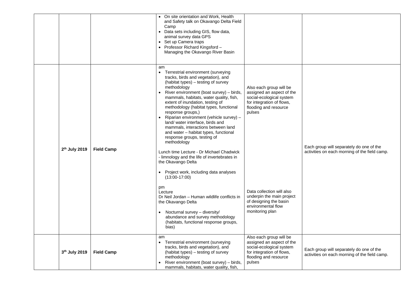|                           |                   | • On site orientation and Work, Health<br>and Safety talk on Okavango Delta Field<br>Camp<br>Data sets including GIS, flow data,<br>$\bullet$<br>animal survey data GPS<br>Set up Camera traps<br>$\bullet$<br>Professor Richard Kingsford-<br>$\bullet$<br>Managing the Okavango River Basin                                                                                                                                                                                                                                                                                                                                                                                                                                                 |                                                                                                                                                  |                                                                                           |
|---------------------------|-------------------|-----------------------------------------------------------------------------------------------------------------------------------------------------------------------------------------------------------------------------------------------------------------------------------------------------------------------------------------------------------------------------------------------------------------------------------------------------------------------------------------------------------------------------------------------------------------------------------------------------------------------------------------------------------------------------------------------------------------------------------------------|--------------------------------------------------------------------------------------------------------------------------------------------------|-------------------------------------------------------------------------------------------|
| 2 <sup>th</sup> July 2019 | <b>Field Camp</b> | am<br>Terrestrial environment (surveying<br>tracks, birds and vegetation), and<br>(habitat types) – testing of survey<br>methodology<br>River environment (boat survey) - birds,<br>mammals, habitats, water quality, fish,<br>extent of inundation, testing of<br>methodology (habitat types, functional<br>response groups,)<br>Riparian environment (vehicle survey) -<br>$\bullet$<br>land/ water interface, birds and<br>mammals, interactions between land<br>and water - habitat types, functional<br>response groups, testing of<br>methodology<br>Lunch time Lecture - Dr Michael Chadwick<br>- limnology and the life of invertebrates in<br>the Okavango Delta<br>• Project work, including data analyses<br>$(13:00-17:00)$<br>pm | Also each group will be<br>assigned an aspect of the<br>social-ecological system<br>for integration of flows,<br>flooding and resource<br>pulses | Each group will separately do one of the<br>activities on each morning of the field camp. |
|                           |                   | Lecture<br>Dr Neil Jordan - Human wildlife conflicts in<br>the Okavango Delta<br>Nocturnal survey - diversity/<br>abundance and survey methodology<br>(habitats, functional response groups,<br>bias)                                                                                                                                                                                                                                                                                                                                                                                                                                                                                                                                         | Data collection will also<br>underpin the main project<br>of designing the basin<br>environmental flow<br>monitoring plan                        |                                                                                           |
| 3 <sup>th</sup> July 2019 | <b>Field Camp</b> | am<br>Terrestrial environment (surveying<br>$\bullet$<br>tracks, birds and vegetation), and<br>(habitat types) - testing of survey<br>methodology<br>River environment (boat survey) - birds,<br>mammals, habitats, water quality, fish,                                                                                                                                                                                                                                                                                                                                                                                                                                                                                                      | Also each group will be<br>assigned an aspect of the<br>social-ecological system<br>for integration of flows,<br>flooding and resource<br>pulses | Each group will separately do one of the<br>activities on each morning of the field camp. |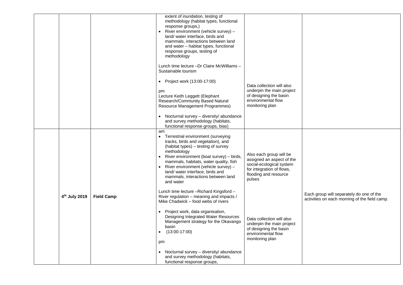|                           |                   | extent of inundation, testing of<br>methodology (habitat types, functional<br>response groups,)<br>River environment (vehicle survey) -<br>$\bullet$<br>land/ water interface, birds and<br>mammals, interactions between land<br>and water - habitat types, functional<br>response groups, testing of<br>methodology                                                                                                                                                                                                                                                                                                        |                                                                                                                                                                                                            |                                                                                           |
|---------------------------|-------------------|------------------------------------------------------------------------------------------------------------------------------------------------------------------------------------------------------------------------------------------------------------------------------------------------------------------------------------------------------------------------------------------------------------------------------------------------------------------------------------------------------------------------------------------------------------------------------------------------------------------------------|------------------------------------------------------------------------------------------------------------------------------------------------------------------------------------------------------------|-------------------------------------------------------------------------------------------|
|                           |                   | Lunch time lecture -Dr Claire McWilliams -<br>Sustainable tourism                                                                                                                                                                                                                                                                                                                                                                                                                                                                                                                                                            |                                                                                                                                                                                                            |                                                                                           |
|                           |                   | • Project work (13:00-17:00)<br>pm<br>Lecture Keith Leggett (Elephant<br>Research/Community Based Natural<br>Resource Management Programmes)<br>• Nocturnal survey - diversity/ abundance<br>and survey methodology (habitats,<br>functional response groups, bias)                                                                                                                                                                                                                                                                                                                                                          | Data collection will also<br>underpin the main project<br>of designing the basin<br>environmental flow<br>monitoring plan                                                                                  |                                                                                           |
| 4 <sup>th</sup> July 2019 | <b>Field Camp</b> | am<br>Terrestrial environment (surveying<br>$\bullet$<br>tracks, birds and vegetation), and<br>(habitat types) - testing of survey<br>methodology<br>River environment (boat survey) - birds,<br>mammals, habitats, water quality, fish<br>• River environment (vehicle survey) -<br>land/ water interface, birds and<br>mammals, interactions between land<br>and water<br>Lunch time lecture -Richard Kingsford -<br>River regulation - meaning and impacts /<br>Mike Chadwick - food webs of rivers<br>• Project work, data organisation,<br>Designing Integrated Water Resources<br>Management strategy for the Okavango | Also each group will be<br>assigned an aspect of the<br>social-ecological system<br>for integration of flows,<br>flooding and resource<br>pulses<br>Data collection will also<br>underpin the main project | Each group will separately do one of the<br>activities on each morning of the field camp. |
|                           |                   | basin<br>$(13:00-17:00)$<br>$\bullet$<br>pm<br>Nocturnal survey - diversity/ abundance                                                                                                                                                                                                                                                                                                                                                                                                                                                                                                                                       | of designing the basin<br>environmental flow<br>monitoring plan                                                                                                                                            |                                                                                           |
|                           |                   | and survey methodology (habitats,<br>functional response groups,                                                                                                                                                                                                                                                                                                                                                                                                                                                                                                                                                             |                                                                                                                                                                                                            |                                                                                           |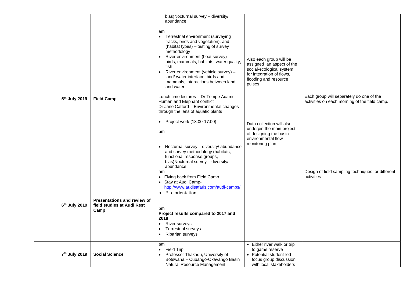|                           |                                                                   | bias)Nocturnal survey - diversity/<br>abundance                                                                                                                                                                                                                                                                                                                |                                                                                                                                                  |                                                                                           |
|---------------------------|-------------------------------------------------------------------|----------------------------------------------------------------------------------------------------------------------------------------------------------------------------------------------------------------------------------------------------------------------------------------------------------------------------------------------------------------|--------------------------------------------------------------------------------------------------------------------------------------------------|-------------------------------------------------------------------------------------------|
|                           |                                                                   | am<br>• Terrestrial environment (surveying<br>tracks, birds and vegetation), and<br>(habitat types) - testing of survey<br>methodology<br>River environment (boat survey) -<br>birds, mammals, habitats, water quality,<br>fish<br>River environment (vehicle survey) -<br>land/ water interface, birds and<br>mammals, interactions between land<br>and water | Also each group will be<br>assigned an aspect of the<br>social-ecological system<br>for integration of flows,<br>flooding and resource<br>pulses |                                                                                           |
| 5 <sup>th</sup> July 2019 | <b>Field Camp</b>                                                 | Lunch time lectures - Dr Tempe Adams -<br>Human and Elephant conflict<br>Dr Jane Catford - Environmental changes<br>through the lens of aquatic plants                                                                                                                                                                                                         |                                                                                                                                                  | Each group will separately do one of the<br>activities on each morning of the field camp. |
|                           |                                                                   | • Project work (13:00-17:00)<br>pm<br>• Nocturnal survey - diversity/ abundance<br>and survey methodology (habitats,<br>functional response groups,<br>bias)Nocturnal survey - diversity/                                                                                                                                                                      | Data collection will also<br>underpin the main project<br>of designing the basin<br>environmental flow<br>monitoring plan                        |                                                                                           |
|                           |                                                                   | abundance<br>am<br>• Flying back from Field Camp<br>• Stay at Audi Camp-<br>http://www.audisafaris.com/audi-camps/<br>• Site orientation                                                                                                                                                                                                                       |                                                                                                                                                  | Design of field sampling techniques for different<br>activities                           |
| 6 <sup>th</sup> July 2019 | Presentations and review of<br>field studies at Audi Rest<br>Camp | pm<br>Project results compared to 2017 and<br>2018<br>• River surveys<br><b>Terrestrial surveys</b><br>Riparian surveys<br>$\bullet$                                                                                                                                                                                                                           |                                                                                                                                                  |                                                                                           |
| 7 <sup>th</sup> July 2019 | <b>Social Science</b>                                             | am<br><b>Field Trip</b><br>$\bullet$<br>Professor Thakadu, University of<br>Botswana - Cubango-Okavango Basin<br>Natural Resource Management                                                                                                                                                                                                                   | • Either river walk or trip<br>to game reserve<br>• Potential student-led<br>focus group discussion<br>with local stakeholders                   |                                                                                           |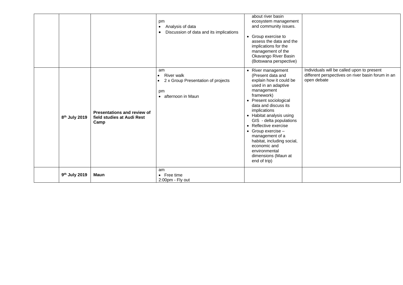|                           |                                                                   | pm<br>Analysis of data<br>$\bullet$<br>Discussion of data and its implications<br>$\bullet$                          | about river basin<br>ecosystem management<br>and community issues.<br>• Group exercise to<br>assess the data and the<br>implications for the<br>management of the<br>Okavango River Basin<br>(Botswana perspective)                                                                                                                                                                                                              |                                                                                                                |
|---------------------------|-------------------------------------------------------------------|----------------------------------------------------------------------------------------------------------------------|----------------------------------------------------------------------------------------------------------------------------------------------------------------------------------------------------------------------------------------------------------------------------------------------------------------------------------------------------------------------------------------------------------------------------------|----------------------------------------------------------------------------------------------------------------|
| 8 <sup>th</sup> July 2019 | Presentations and review of<br>field studies at Audi Rest<br>Camp | am<br><b>River walk</b><br>$\bullet$<br>2 x Group Presentation of projects<br>$\bullet$<br>pm<br>• afternoon in Maun | • River management<br>(Present data and<br>explain how it could be<br>used in an adaptive<br>management<br>framework)<br>• Present sociological<br>data and discuss its<br>implications<br>• Habitat analysis using<br>GIS - delta populations<br>• Reflective exercise<br>$\bullet$ Group exercise $-$<br>management of a<br>habitat, including social,<br>economic and<br>environmental<br>dimensions (Maun at<br>end of trip) | Individuals will be called upon to present<br>different perspectives on river basin forum in an<br>open debate |
| 9 <sup>th</sup> July 2019 | <b>Maun</b>                                                       | am<br>$\bullet$ Free time<br>2:00pm - Fly out                                                                        |                                                                                                                                                                                                                                                                                                                                                                                                                                  |                                                                                                                |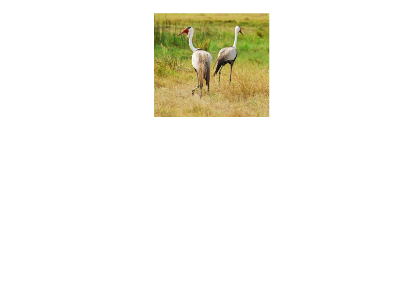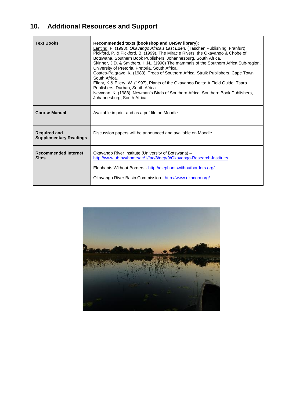## <span id="page-15-0"></span>**10. Additional Resources and Support**

| <b>Text Books</b>                                    | Recommended texts (bookshop and UNSW library):<br>Lanting, F. (1993). Okavango Africa's Last Eden. (Taschen Publishing, Franfurt)<br>Pickford, P. & Pickford, B. (1999). The Miracle Rivers: the Okavango & Chobe of<br>Botswana. Southern Book Publishers, Johannesburg, South Africa.<br>Skinner, J.D. & Smithers, H.N., (1990) The mammals of the Southern Africa Sub-region.<br>University of Pretoria, Pretoria, South Africa.<br>Coates-Palgrave, K. (1983). Trees of Southern Africa, Struik Publishers, Cape Town<br>South Africa.<br>Ellery, K & Ellery, W. (1997), Plants of the Okavango Delta: A Field Guide. Tsaro<br>Publishers, Durban, South Africa.<br>Newman, K. (1988). Newman's Birds of Southern Africa. Southern Book Publishers,<br>Johannesburg, South Africa. |
|------------------------------------------------------|----------------------------------------------------------------------------------------------------------------------------------------------------------------------------------------------------------------------------------------------------------------------------------------------------------------------------------------------------------------------------------------------------------------------------------------------------------------------------------------------------------------------------------------------------------------------------------------------------------------------------------------------------------------------------------------------------------------------------------------------------------------------------------------|
| <b>Course Manual</b>                                 | Available in print and as a pdf file on Moodle                                                                                                                                                                                                                                                                                                                                                                                                                                                                                                                                                                                                                                                                                                                                         |
| <b>Required and</b><br><b>Supplementary Readings</b> | Discussion papers will be announced and available on Moodle                                                                                                                                                                                                                                                                                                                                                                                                                                                                                                                                                                                                                                                                                                                            |
| <b>Recommended Internet</b><br><b>Sites</b>          | Okavango River Institute (University of Botswana) -<br>http://www.ub.bw/home/ac/1/fac/8/dep/9/Okavango-Research-Institute/<br>Elephants Without Borders - http://elephantswithoutborders.org/<br>Okavango River Basin Commission - http://www.okacom.org/                                                                                                                                                                                                                                                                                                                                                                                                                                                                                                                              |

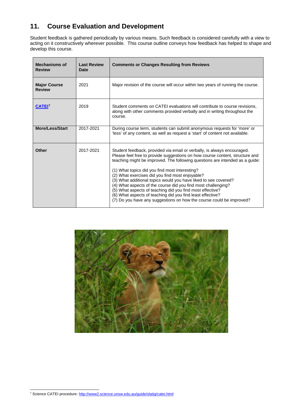### <span id="page-16-0"></span>**11. Course Evaluation and Development**

Student feedback is gathered periodically by various means. Such feedback is considered carefully with a view to acting on it constructively wherever possible. This course outline conveys how feedback has helped to shape and develop this course.

| <b>Mechanisms of</b><br><b>Review</b> | <b>Last Review</b><br>Date | <b>Comments or Changes Resulting from Reviews</b>                                                                                                                                                                                                                                                                                                                                                                                                                                                                                                                                                                                                                                   |
|---------------------------------------|----------------------------|-------------------------------------------------------------------------------------------------------------------------------------------------------------------------------------------------------------------------------------------------------------------------------------------------------------------------------------------------------------------------------------------------------------------------------------------------------------------------------------------------------------------------------------------------------------------------------------------------------------------------------------------------------------------------------------|
| <b>Major Course</b><br><b>Review</b>  | 2021                       | Major revision of the course will occur within two years of running the course.                                                                                                                                                                                                                                                                                                                                                                                                                                                                                                                                                                                                     |
| <b>CATEI</b>                          | 2019                       | Student comments on CATEI evaluations will contribute to course revisions.<br>along with other comments provided verbally and in writing throughout the<br>course.                                                                                                                                                                                                                                                                                                                                                                                                                                                                                                                  |
| More/Less/Start                       | 2017-2021                  | During course term, students can submit anonymous requests for 'more' or<br>'less' of any content, as well as request a 'start' of content not available.                                                                                                                                                                                                                                                                                                                                                                                                                                                                                                                           |
| <b>Other</b>                          | 2017-2021                  | Student feedback, provided via email or verbally, is always encouraged.<br>Please feel free to provide suggestions on how course content, structure and<br>teaching might be improved. The following questions are intended as a guide:<br>(1) What topics did you find most interesting?<br>(2) What exercises did you find most enjoyable?<br>(3) What additional topics would you have liked to see covered?<br>(4) What aspects of the course did you find most challenging?<br>(5) What aspects of teaching did you find most effective?<br>(6) What aspects of teaching did you find least effective?<br>(7) Do you have any suggestions on how the course could be improved? |



<span id="page-16-1"></span><sup>&</sup>lt;sup>7</sup> Science CATEI procedure:<http://www2.science.unsw.edu.au/guide/slatig/catei.html>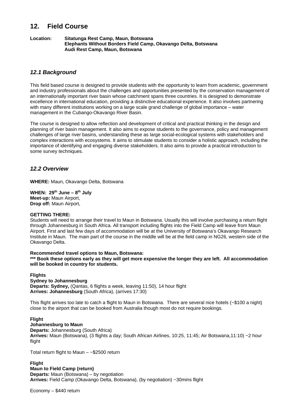### <span id="page-17-0"></span>**12. Field Course**

**Location: Sitatunga Rest Camp, Maun, Botswana Elephants Without Borders Field Camp, Okavango Delta, Botswana Audi Rest Camp, Maun, Botswana**

#### <span id="page-17-1"></span>*12.1 Background*

This field based course is designed to provide students with the opportunity to learn from academic, government and industry professionals about the challenges and opportunities presented by the conservation management of an internationally important river basin whose catchment spans three countries. It is designed to demonstrate excellence in international education, providing a distinctive educational experience. It also involves partnering with many different institutions working on a large scale grand challenge of global importance – water management in the Cubango-Okavango River Basin.

The course is designed to allow reflection and development of critical and practical thinking in the design and planning of river basin management. It also aims to expose students to the governance, policy and management challenges of large river basins, understanding these as large social-ecological systems with stakeholders and complex interactions with ecosystems. It aims to stimulate students to consider a holistic approach, including the importance of identifying and engaging diverse stakeholders. It also aims to provide a practical introduction to some survey techniques.

#### <span id="page-17-2"></span>*12.2 Overview*

**WHERE:** Maun, Okavango Delta, Botswana

**WHEN: 29th June – 8th July Meet-up:** Maun Airport, **Drop off:** Maun Airport,

#### **GETTING THERE:**

Students will need to arrange their travel to Maun in Botswana. Usually this will involve purchasing a return flight through Johannesburg in South Africa. All transport including flights into the Field Camp will leave from Maun Airport. First and last few days of accommodation will be at the University of Botswana's Okavango Research Institute in Maun. The main part of the course in the middle will be at the field camp in NG26, western side of the Okavango Delta.

#### **Recommended travel options to Maun, Botswana:**

**\*\*\* Book these options early as they will get more expensive the longer they are left. All accommodation will be booked in country for students.**

**Flights Sydney to Johannesburg Departs: Sydney,** (Qantas, 6 flights a week, leaving 11:50), 14 hour flight **Arrives: Johannesburg** (South Africa), (arrives 17:30)

This flight arrives too late to catch a flight to Maun in Botswana. There are several nice hotels (~\$100 a night) close to the airport that can be booked from Australia though most do not require bookings.

**Flight Johannesburg to Maun Departs:** Johannesburg (South Africa) **Arrives:** Maun (Botswana), (3 flights a day; South African Airlines, 10:25, 11:45; Air Botswana,11:10) ~2 hour flight

Total return flight to Maun  $-$  ~\$2500 return

**Flight Maun to Field Camp (return) Departs:** Maun (Botswana) – by negotiation **Arrives:** Field Camp (Okavango Delta, Botswana), (by negotiation) ~30mins flight

Economy – \$440 return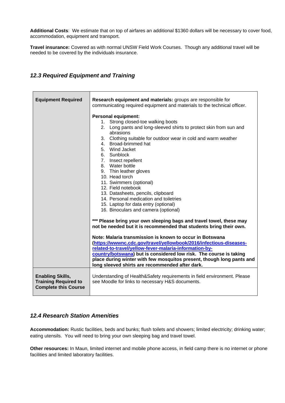**Additional Costs**: We estimate that on top of airfares an additional \$1360 dollars will be necessary to cover food, accommodation, equipment and transport.

**Travel insurance:** Covered as with normal UNSW Field Work Courses. Though any additional travel will be needed to be covered by the individuals insurance.

#### <span id="page-18-0"></span>*12.3 Required Equipment and Training*

| <b>Equipment Required</b>                                                             | Research equipment and materials: groups are responsible for<br>communicating required equipment and materials to the technical officer.                                                                                                                                                                                                                                                                                                                                                                                                                                                                                                                                                                                                                                                                                                                                                                                                                                                                                                                                                                                         |  |  |
|---------------------------------------------------------------------------------------|----------------------------------------------------------------------------------------------------------------------------------------------------------------------------------------------------------------------------------------------------------------------------------------------------------------------------------------------------------------------------------------------------------------------------------------------------------------------------------------------------------------------------------------------------------------------------------------------------------------------------------------------------------------------------------------------------------------------------------------------------------------------------------------------------------------------------------------------------------------------------------------------------------------------------------------------------------------------------------------------------------------------------------------------------------------------------------------------------------------------------------|--|--|
|                                                                                       | <b>Personal equipment:</b><br>1. Strong closed-toe walking boots<br>2. Long pants and long-sleeved shirts to protect skin from sun and<br>abrasions<br>3. Clothing suitable for outdoor wear in cold and warm weather<br>4. Broad-brimmed hat<br>5. Wind Jacket<br>6. Sunblock<br>7. Insect repellent<br>8. Water bottle<br>9. Thin leather gloves<br>10. Head torch<br>11. Swimmers (optional)<br>12. Field notebook<br>13. Datasheets, pencils, clipboard<br>14. Personal medication and toiletries<br>15. Laptop for data entry (optional)<br>16. Binoculars and camera (optional)<br>*** Please bring your own sleeping bags and travel towel, these may<br>not be needed but it is recommended that students bring their own.<br>Note: Malaria transmission is known to occur in Botswana<br>(https://wwwnc.cdc.gov/travel/yellowbook/2016/infectious-diseases-<br>related-to-travel/yellow-fever-malaria-information-by-<br>country/botswana) but is considered low risk. The course is taking<br>place during winter with few mosquitos present, though long pants and<br>long sleeved shirts are recommended after dark. |  |  |
| <b>Enabling Skills,</b><br><b>Training Required to</b><br><b>Complete this Course</b> | Understanding of Health&Safety requirements in field environment. Please<br>see Moodle for links to necessary H&S documents.                                                                                                                                                                                                                                                                                                                                                                                                                                                                                                                                                                                                                                                                                                                                                                                                                                                                                                                                                                                                     |  |  |

#### <span id="page-18-1"></span>*12.4 Research Station Amenities*

**Accommodation:** Rustic facilities, beds and bunks; flush toilets and showers; limited electricity; drinking water; eating utensils. You will need to bring your own sleeping bag and travel towel.

**Other resources:** In Maun, limited internet and mobile phone access, in field camp there is no internet or phone facilities and limited laboratory facilities.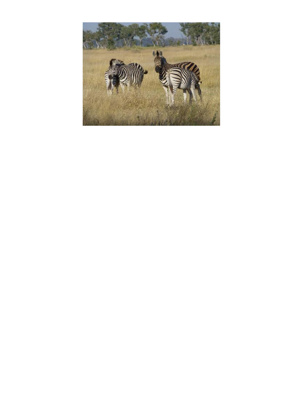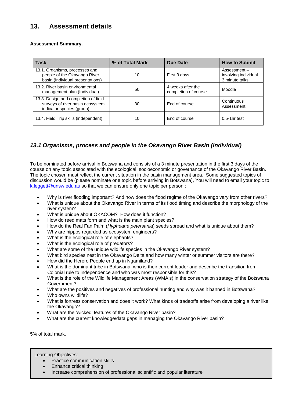### <span id="page-20-0"></span>**13. Assessment details**

#### **Assessment Summary.**

| <b>Task</b>                                                                                           | % of Total Mark | Due Date                                  | <b>How to Submit</b>                                     |
|-------------------------------------------------------------------------------------------------------|-----------------|-------------------------------------------|----------------------------------------------------------|
| 13.1. Organisms, processes and<br>people of the Okavango River<br>basin (Individual presentations)    | 10              | First 3 days                              | Assessment $-$<br>involving individual<br>3 minute talks |
| 13.2. River basin environmental<br>management plan (Individual)                                       | 50              | 4 weeks after the<br>completion of course | Moodle                                                   |
| 13.3. Design and completion of field<br>surveys of river basin ecosystem<br>indicator species (group) | 30              | End of course                             | Continuous<br>Assessment                                 |
| 13.4. Field Trip skills (independent)                                                                 | 10              | End of course                             | $0.5-1$ hr test                                          |

#### <span id="page-20-1"></span>*13.1 Organisms, process and people in the Okavango River Basin (Individual)*

To be nominated before arrival in Botswana and consists of a 3 minute presentation in the first 3 days of the course on any topic associated with the ecological, socioeconomic or governance of the Okavango River Basin. The topic chosen must reflect the current situation in the basin management area. Some suggested topics of discussion would be (please nominate one topic before arriving in Botswana), You will need to email your topic to [k.leggett@unsw.edu.au](mailto:k.leggett@unsw.edu.au) so that we can ensure only one topic per person :

- Why is river flooding important? And how does the flood regime of the Okavango vary from other rivers?
- What is unique about the Okavango River in terms of its flood timing and describe the morphology of the river system?
- What is unique about OKACOM? How does it function?
- How do reed mats form and what is the main plant species?
- How do the Real Fan Palm (*Hypheane petersania*) seeds spread and what is unique about them?
- Why are hippos regarded as ecosystem engineers?
- What is the ecological role of elephants?
- What is the ecological role of predators?
- What are some of the unique wildlife species in the Okavango River system?
- What bird species nest in the Okavango Delta and how many winter or summer visitors are there?
- How did the Herero People end up in Ngamiland?
- What is the dominant tribe in Botswana, who is their current leader and describe the transition from Colonial rule to independence and who was most responsible for this?
- What is the role of the Wildlife Management Areas (WMA's) in the conservation strategy of the Botswana Government?
- What are the positives and negatives of professional hunting and why was it banned in Botswana?
- Who owns wildlife?
- What is fortress conservation and does it work? What kinds of tradeoffs arise from developing a river like the Okavango?
- What are the 'wicked' features of the Okavango River basin?
- What are the current knowledge/data gaps in managing the Okavango River basin?

5% of total mark.

Learning Objectives:

- Practice communication skills
- Enhance critical thinking
- Increase comprehension of professional scientific and popular literature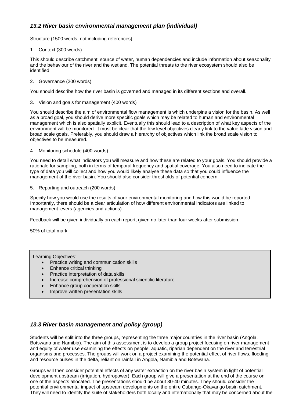#### <span id="page-21-0"></span>*13.2 River basin environmental management plan (individual)*

Structure (1500 words, not including references).

#### 1. Context (300 words)

This should describe catchment, source of water, human dependencies and include information about seasonality and the behaviour of the river and the wetland. The potential threats to the river ecosystem should also be identified.

#### 2. Governance (200 words)

You should describe how the river basin is governed and managed in its different sections and overall.

3. Vision and goals for management (400 words)

You should describe the aim of environmental flow management is which underpins a vision for the basin. As well as a broad goal, you should derive more specific goals which may be related to human and environmental management which is also spatially explicit. Eventually this should lead to a description of what key aspects of the environment will be monitored. It must be clear that the low level objectives clearly link to the value lade vision and broad scale goals. Preferably, you should draw a hierarchy of objectives which link the broad scale vision to objectives to be measured.

4. Monitoring schedule (400 words)

You need to detail what indicators you will measure and how these are related to your goals. You should provide a rationale for sampling, both in terms of temporal frequency and spatial coverage. You also need to indicate the type of data you will collect and how you would likely analyse these data so that you could influence the management of the river basin. You should also consider thresholds of potential concern.

5. Reporting and outreach (200 words)

Specify how you would use the results of your environmental monitoring and how this would be reported. Importantly, there should be a clear articulation of how different environmental indicators are linked to management levers (agencies and actions).

Feedback will be given individually on each report, given no later than four weeks after submission.

50% of total mark.

Learning Objectives:

- Practice writing and communication skills
- Enhance critical thinking
- Practice interpretation of data skills
- Increase comprehension of professional scientific literature
- Enhance group cooperation skills
- Improve written presentation skills

### <span id="page-21-1"></span>*13.3 River basin management and policy (group)*

Students will be split into the three groups, representing the three major countries in the river basin (Angola, Botswana and Namibia). The aim of this assessment is to develop a group project focusing on river management and equity of water use examining the effects on people, aquatic, riparian dependent on the river and terrestrial organisms and processes. The groups will work on a project examining the potential effect of river flows, flooding and resource pulses in the delta, reliant on rainfall in Angola, Namibia and Botswana.

Groups will then consider potential effects of any water extraction on the river basin system in light of potential development upstream (irrigation, hydropower). Each group will give a presentation at the end of the course on one of the aspects allocated. The presentations should be about 30-40 minutes. They should consider the potential environmental impact of upstream developments on the entire Cubango-Okavango basin catchment. They will need to identify the suite of stakeholders both locally and internationally that may be concerned about the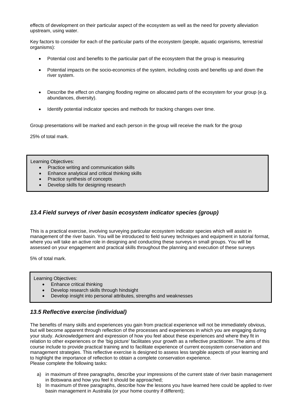effects of development on their particular aspect of the ecosystem as well as the need for poverty alleviation upstream, using water.

Key factors to consider for each of the particular parts of the ecosystem (people, aquatic organisms, terrestrial organisms):

- Potential cost and benefits to the particular part of the ecosystem that the group is measuring
- Potential impacts on the socio-economics of the system, including costs and benefits up and down the river system.
- Describe the effect on changing flooding regime on allocated parts of the ecosystem for your group (e.g. abundances, diversity).
- Identify potential indicator species and methods for tracking changes over time.

Group presentations will be marked and each person in the group will receive the mark for the group

25% of total mark.

Learning Objectives:

- Practice writing and communication skills
- Enhance analytical and critical thinking skills
- Practice synthesis of concepts
- Develop skills for designing research

#### <span id="page-22-0"></span>*13.4 Field surveys of river basin ecosystem indicator species (group)*

This is a practical exercise, involving surveying particular ecosystem indicator species which will assist in management of the river basin. You will be introduced to field survey techniques and equipment in tutorial format, where you will take an active role in designing and conducting these surveys in small groups. You will be assessed on your engagement and practical skills throughout the planning and execution of these surveys

5% of total mark.

Learning Objectives:

- Enhance critical thinking
- Develop research skills through hindsight
- Develop insight into personal attributes, strengths and weaknesses

#### <span id="page-22-1"></span>*13.5 Reflective exercise (individual)*

The benefits of many skills and experiences you gain from practical experience will not be immediately obvious, but will become apparent through reflection of the processes and experiences in which you are engaging during your study. Acknowledgement and expression of how you feel about these experiences and where they fit in relation to other experiences or the 'big picture' facilitates your growth as a reflective practitioner. The aims of this course include to provide practical training and to facilitate experience of current ecosystem conservation and management strategies. This reflective exercise is designed to assess less tangible aspects of your learning and to highlight the importance of reflection to obtain a complete conservation experience. Please complete the following tasks:

- a) in maximum of three paragraphs, describe your impressions of the current state of river basin management in Botswana and how you feel it should be approached;
- b) In maximum of three paragraphs, describe how the lessons you have learned here could be applied to river basin management in Australia (or your home country if different);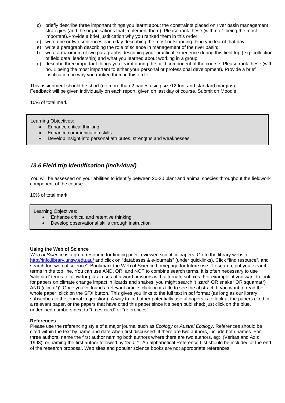- c) briefly describe three important things you learnt about the constraints placed on river basin management strategies (and the organisations that implement them). Please rank these (with no.1 being the most important).Provide a brief justification why you ranked them in this order;
- d) write one or two sentences each day describing the most outstanding thing you learnt that day;
- e) write a paragraph describing the role of science in management of the river basin;
- f) write a maximum of two paragraphs describing your practical experience during this field trip (e.g. collection of field data, leadership) and what you learned about working in a group;
- g) describe three important things you learnt during the field component of the course. Please rank these (with no. 1 being the most important to either your personal or professional development). Provide a brief justification on why you ranked them in this order.

This assignment should be short (no more than 2 pages using size12 font and standard margins). Feedback will be given individually on each report, given on last day of course. Submit on Moodle.

10% of total mark.

Learning Objectives:

- Enhance critical thinking
- Enhance communication skills
- Develop insight into personal attributes, strengths and weaknesses

#### <span id="page-23-0"></span>*13.6 Field trip identification (Individual)*

You will be assessed on your abilities to identify between 20-30 plant and animal species throughout the fieldwork component of the course.

10% of total mark.

Learning Objectives:

- Enhance critical and retentive thinking
- Develop observational skills through instruction

#### **Using the Web of Science**

*Web of Science* is a great resource for finding peer-reviewed scientific papers. Go to the library website <http://info.library.unsw.edu.au/> and click on "databases & e-journals" (under quicklinks). Click "find resource", and search for "web of science". Bookmark the Web of Science homepage for future use. To search, put your search terms in the top line. You can use AND, OR, and NOT to combine search terms. It is often necessary to use 'wildcard' terms to allow for plural uses of a word or words with alternate suffixes. For example, if you want to look for papers on climate change impact in lizards and snakes, you might search '(lizard\* OR snake\* OR squamat\*) AND (climat\*)'. Once you've found a relevant article, click on its title to see the abstract. If you want to read the whole paper, click on the SFX button. This gives you links to the full text in pdf format (as long as our library subscribes to the journal in question). A way to find other potentially useful papers is to look at the papers cited in a relevant paper, or the papers that have cited this paper since it's been published: just click on the blue, underlined numbers next to "times cited" or "references".

#### **References**

Please use the referencing style of a major journal such as *Ecology* or *Austral Ecology*. References should be cited within the text by name and date when first discussed. If there are two authors, include both names. For three authors, name the first author naming both authors where there are two authors, eg: (Veritas and Aziz 1998), or naming the first author followed by *"et al.".* An alphabetical Reference List should be included at the end of the research proposal. Web sites and popular science books are not appropriate references.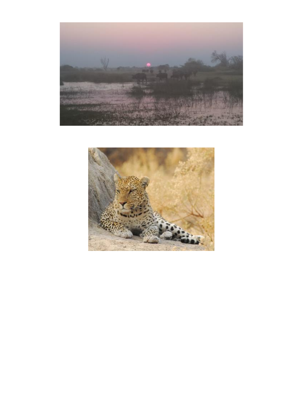